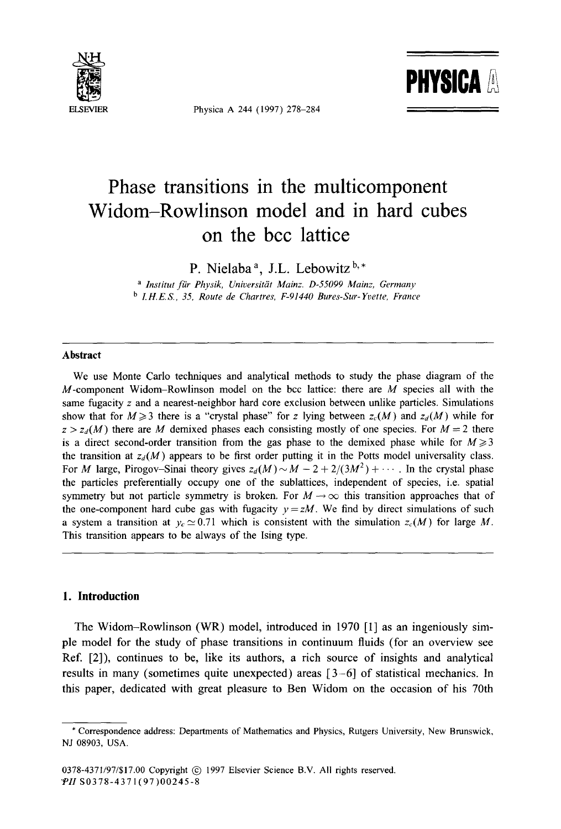

Physica A 244 (1997) 278-284



# **Phase transitions in the multicomponent Widom-Rowlinson model and in hard cubes on the bcc lattice**

**P. Nielaba a, J.L. Lebowitz b,\*** 

*a lnstitut fiir Physik, Universitdt Mainz. D-55099 Mainz, Germany b I.H.E.S., 35, Route de Chartres, F-91440 Bures-Sur-Yvette, France* 

#### **Abstract**

We use Monte Carlo techniques and analytical methods to study the phase diagram of the  $M$ -component Widom-Rowlinson model on the bcc lattice: there are  $M$  species all with the same fugacity  $z$  and a nearest-neighbor hard core exclusion between unlike particles. Simulations show that for  $M \ge 3$  there is a "crystal phase" for z lying between  $z_c(M)$  and  $z_d(M)$  while for  $z > z_d(M)$  there are M demixed phases each consisting mostly of one species. For  $M = 2$  there is a direct second-order transition from the gas phase to the demixed phase while for  $M \geq 3$ the transition at  $z_d(M)$  appears to be first order putting it in the Potts model universality class. For M large, Pirogov-Sinai theory gives  $z_d(M) \sim M - 2 + 2/(3M^2) + \cdots$ . In the crystal phase the particles preferentially occupy one of the sublattices, independent of species, i.e. spatial symmetry but not particle symmetry is broken. For  $M \rightarrow \infty$  this transition approaches that of the one-component hard cube gas with fugacity  $y = zM$ . We find by direct simulations of such a system a transition at  $y_c \approx 0.71$  which is consistent with the simulation  $z_c(M)$  for large M. This transition appears to be always of the Ising type.

# **1. Introduction**

The Widom-Rowlinson (WR) model, introduced in 1970 [1] as an ingeniously simple model for the study of phase transitions in continuum fluids (for an overview see Ref. [2]), continues to be, like its authors, a rich source of insights and analytical results in many (sometimes quite unexpected) areas  $[3-6]$  of statistical mechanics. In this paper, dedicated with great pleasure to Ben Widom on the occasion of his 70th

<sup>\*</sup> Correspondence address: Departments of Mathematics and Physics, Rutgers University, New Brunswick, NJ 08903, USA.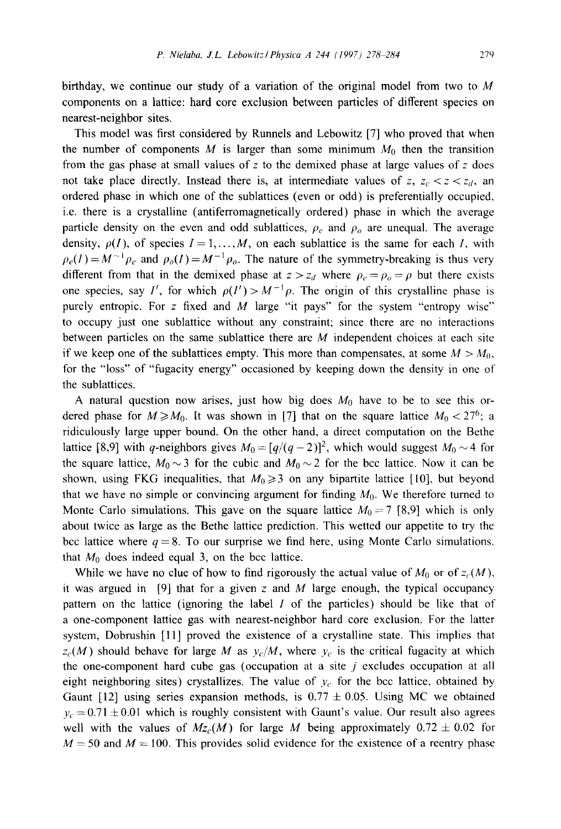birthday, we continue our study of a variation of the original model from two to  $M$ components on a lattice: hard core exclusion between particles of different species on nearest-neighbor sites.

This model was first considered by Runnels and Lebowitz [7] who proved that when the number of components M is larger than some minimum  $M_0$  then the transition from the gas phase at small values of  $z$  to the demixed phase at large values of  $z$  does not take place directly. Instead there is, at intermediate values of z,  $z_c < z < z_d$ , an ordered phase in which one of the sublattices (even or odd) is preferentially occupied, i.e. there is a crystalline (antiferromagnetically ordered) phase in which the average particle density on the even and odd sublattices,  $\rho_e$  and  $\rho_o$  are unequal. The average density,  $\rho(I)$ , of species  $I = 1, \ldots, M$ , on each sublattice is the same for each I, with  $\rho_e(I) = M^{-1} \rho_e$  and  $\rho_o(I) = M^{-1} \rho_o$ . The nature of the symmetry-breaking is thus very different from that in the demixed phase at  $z > z_d$  where  $\rho_e = \rho_o = \rho$  but there exists one species, say I', for which  $\rho(I') > M^{-1} \rho$ . The origin of this crystalline phase is purely entropic. For z fixed and  $M$  large "it pays" for the system "entropy wise" to occupy just one sublattice without any constraint; since there are no interactions between particles on the same sublattice there are  $M$  independent choices at each site if we keep one of the sublattices empty. This more than compensates, at some  $M > M_0$ , for the "loss" of "fugacity energy" occasioned by keeping down the density in one of the sublattices.

A natural question now arises, just how big does  $M_0$  have to be to see this ordered phase for  $M \ge M_0$ . It was shown in [7] that on the square lattice  $M_0 < 27^6$ ; a ridiculously large upper bound. On the other hand, a direct computation on the Bethe lattice [8,9] with q-neighbors gives  $M_0 = [q/(q-2)]^2$ , which would suggest  $M_0 \sim 4$  for the square lattice,  $M_0 \sim 3$  for the cubic and  $M_0 \sim 2$  for the bcc lattice. Now it can be shown, using FKG inequalities, that  $M_0 \geq 3$  on any bipartite lattice [10], but beyond that we have no simple or convincing argument for finding  $M_0$ . We therefore turned to Monte Carlo simulations. This gave on the square lattice  $M_0 = 7$  [8,9] which is only about twice as large as the Bethe lattice prediction. This wetted our appetite to try the bcc lattice where  $q = 8$ . To our surprise we find here, using Monte Carlo simulations, that  $M_0$  does indeed equal 3, on the bcc lattice.

While we have no clue of how to find rigorously the actual value of  $M_0$  or of  $z_c(M)$ , it was argued in [9] that for a given z and M large enough, the typical occupancy pattern on the lattice (ignoring the label 1 of the particles) should be like that of a one-component lattice gas with nearest-neighbor hard core exclusion. For the latter system, Dobrushin [11] proved the existence of a crystalline state. This implies that  $z_c(M)$  should behave for large M as  $y_c/M$ , where  $y_c$  is the critical fugacity at which the one-component hard cube gas (occupation at a site  $j$  excludes occupation at all eight neighboring sites) crystallizes. The value of  $y_c$  for the bcc lattice, obtained by Gaunt [12] using series expansion methods, is  $0.77 \pm 0.05$ . Using MC we obtained  $y_c = 0.71 \pm 0.01$  which is roughly consistent with Gaunt's value. Our result also agrees well with the values of  $Mz_c(M)$  for large M being approximately  $0.72 \pm 0.02$  for  $M = 50$  and  $M = 100$ . This provides solid evidence for the existence of a reentry phase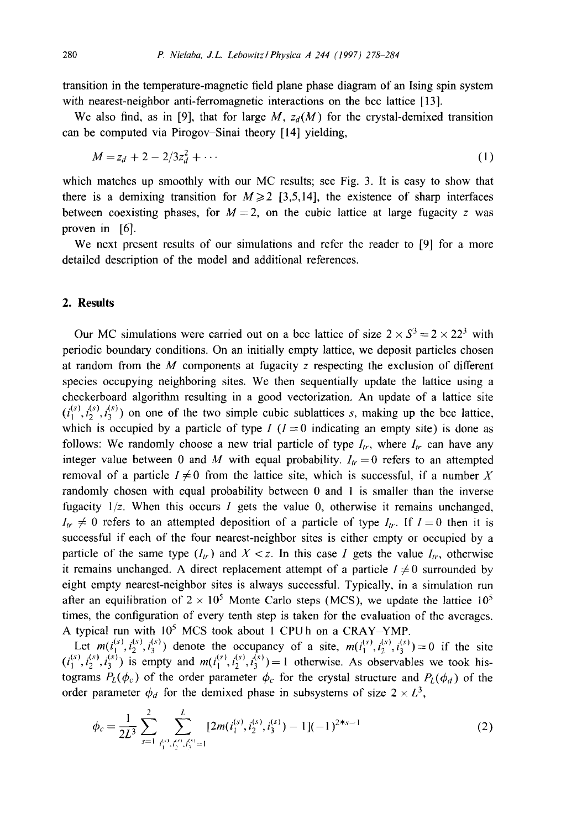transition in the temperature-magnetic field plane phase diagram of an Ising spin system with nearest-neighbor anti-ferromagnetic interactions on the bcc lattice [13].

We also find, as in [9], that for large  $M$ ,  $z_d(M)$  for the crystal-demixed transition can be computed via Pirogov-Sinai theory [14] yielding,

$$
M = z_d + 2 - 2/3z_d^2 + \cdots \tag{1}
$$

which matches up smoothly with our MC results; see Fig. 3. It is easy to show that there is a demixing transition for  $M \ge 2$  [3,5,14], the existence of sharp interfaces between coexisting phases, for  $M = 2$ , on the cubic lattice at large fugacity z was proven in [6].

We next present results of our simulations and refer the reader to [9] for a more detailed description of the model and additional references.

# **2. Results**

Our MC simulations were carried out on a bcc lattice of size  $2 \times S^3 = 2 \times 22^3$  with periodic boundary conditions. On an initially empty lattice, we deposit particles chosen at random from the  $M$  components at fugacity  $z$  respecting the exclusion of different species occupying neighboring sites. We then sequentially update the lattice using a checkerboard algorithm resulting in a good vectorization. An update of a lattice site  $(i_1^{(s)}, i_2^{(s)}, i_3^{(s)})$  on one of the two simple cubic sublattices s, making up the bcc lattice, which is occupied by a particle of type  $I$  ( $I = 0$  indicating an empty site) is done as follows: We randomly choose a new trial particle of type  $I_{tr}$ , where  $I_{tr}$  can have any integer value between 0 and M with equal probability.  $I_{tr} = 0$  refers to an attempted removal of a particle  $I \neq 0$  from the lattice site, which is successful, if a number X randomly chosen with equal probability between 0 and 1 is smaller than the inverse fugacity  $1/z$ . When this occurs I gets the value 0, otherwise it remains unchanged,  $I_{tr} \neq 0$  refers to an attempted deposition of a particle of type  $I_{tr}$ . If  $I = 0$  then it is successful if each of the four nearest-neighbor sites is either empty or occupied by a particle of the same type  $(I_{tr})$  and  $X \leq z$ . In this case I gets the value  $I_{tr}$ , otherwise it remains unchanged. A direct replacement attempt of a particle  $I \neq 0$  surrounded by eight empty nearest-neighbor sites is always successful. Typically, in a simulation run after an equilibration of  $2 \times 10^5$  Monte Carlo steps (MCS), we update the lattice  $10^5$ times, the configuration of every tenth step is taken for the evaluation of the averages. A typical run with  $10^5$  MCS took about 1 CPUh on a CRAY-YMP.

Let  $m(i_1^{(s)}, i_2^{(s)}, i_3^{(s)})$  denote the occupancy of a site,  $m(i_1^{(s)}, i_2^{(s)}, i_3^{(s)})=0$  if the site  $(i_1^{(s)}, i_2^{(s)}, i_3^{(s)})$  is empty and  $m(i_1^{(s)}, i_2^{(s)}, i_3^{(s)}) = 1$  otherwise. As observables we took histograms  $P_L(\phi_c)$  of the order parameter  $\phi_c$  for the crystal structure and  $P_L(\phi_d)$  of the order parameter  $\phi_d$  for the demixed phase in subsystems of size  $2 \times L^3$ ,

$$
\phi_c = \frac{1}{2L^3} \sum_{s=1}^2 \sum_{\substack{i_1^{(s)}, i_2^{(s)}, i_3^{(s)} = 1}}^L \left[ 2m(i_1^{(s)}, i_2^{(s)}, i_3^{(s)}) - 1 \right] (-1)^{2+s-1} \tag{2}
$$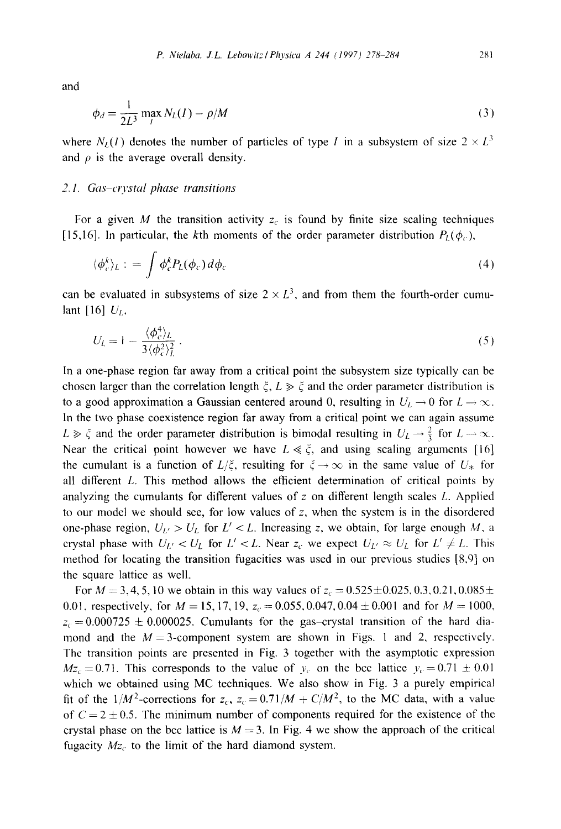and

$$
\phi_d = \frac{1}{2L^3} \max_l N_L(I) - \rho/M \tag{3}
$$

where  $N_I(I)$  denotes the number of particles of type I in a subsystem of size  $2 \times L^3$ and  $\rho$  is the average overall density.

# 2.1. Gas-crystal phase transitions

For a given M the transition activity  $z_c$  is found by finite size scaling techniques [15,16]. In particular, the kth moments of the order parameter distribution  $P_L(\phi_c)$ ,

$$
\langle \phi_c^k \rangle_L := \int \phi_c^k P_L(\phi_c) \, d\phi_c \tag{4}
$$

can be evaluated in subsystems of size  $2 \times L^3$ , and from them the fourth-order cumulant [16]  $U_L$ ,

$$
U_L = 1 - \frac{\langle \phi_c^4 \rangle_L}{3 \langle \phi_c^2 \rangle_L^2} \,. \tag{5}
$$

In a one-phase region far away from a critical point the subsystem size typically can be chosen larger than the correlation length  $\xi$ ,  $L \gg \xi$  and the order parameter distribution is to a good approximation a Gaussian centered around 0, resulting in  $U_L \rightarrow 0$  for  $L \rightarrow \infty$ . In the two phase coexistence region far away from a critical point we can again assume  $L \gg \zeta$  and the order parameter distribution is bimodal resulting in  $U_L \rightarrow \frac{2}{3}$  for  $L \rightarrow \infty$ . Near the critical point however we have  $L \ll \zeta$ , and using scaling arguments [16] the cumulant is a function of  $L/\xi$ , resulting for  $\xi \to \infty$  in the same value of  $U_*$  for all different L. This method allows the efficient determination of critical points by analyzing the cumulants for different values of  $z$  on different length scales  $L$ . Applied to our model we should see, for low values of  $z$ , when the system is in the disordered one-phase region,  $U_{L'} > U_L$  for  $L' < L$ . Increasing z, we obtain, for large enough M, a crystal phase with  $U_{L'} < U_L$  for  $L' < L$ . Near  $z_c$  we expect  $U_{L'} \approx U_L$  for  $L' \neq L$ . This method for locating the transition fugacities was used in our previous studies [8,9] on the square lattice as well.

For  $M = 3, 4, 5, 10$  we obtain in this way values of  $z_c = 0.525 \pm 0.025, 0.3, 0.21, 0.085 \pm 0.025$ 0.01, respectively, for  $M = 15, 17, 19, z_c = 0.055, 0.047, 0.04 \pm 0.001$  and for  $M = 1000$ ,  $z_c = 0.000725 \pm 0.000025$ . Cumulants for the gas-crystal transition of the hard diamond and the  $M=3$ -component system are shown in Figs. 1 and 2, respectively. The transition points are presented in Fig. 3 together with the asymptotic expression  $Mz_c = 0.71$ . This corresponds to the value of  $y_c$  on the bcc lattice  $y_c = 0.71 \pm 0.01$ which we obtained using MC techniques. We also show in Fig. 3 a purely empirical fit of the  $1/M^2$ -corrections for  $z_c$ ,  $z_c = 0.71/M + C/M^2$ , to the MC data, with a value of  $C = 2 \pm 0.5$ . The minimum number of components required for the existence of the crystal phase on the bcc lattice is  $M = 3$ . In Fig. 4 we show the approach of the critical fugacity  $Mz_c$  to the limit of the hard diamond system.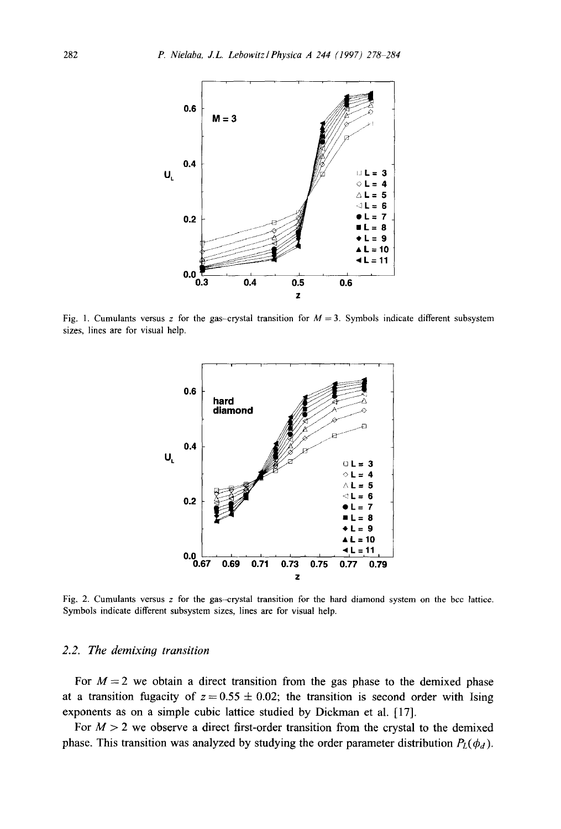

Fig. 1. Cumulants versus z for the gas-crystal transition for  $M = 3$ . Symbols indicate different subsystem sizes, lines are for visual help.



Fig. 2. Cumulants versus  $z$  for the gas-crystal transition for the hard diamond system on the bcc lattice. Symbols indicate different subsystem sizes, lines are for visual help.

## *2.2. The demixin9 transition*

For  $M=2$  we obtain a direct transition from the gas phase to the demixed phase at a transition fugacity of  $z = 0.55 \pm 0.02$ ; the transition is second order with Ising exponents as on a simple cubic lattice studied by Dickman et al. [17].

For  $M > 2$  we observe a direct first-order transition from the crystal to the demixed phase. This transition was analyzed by studying the order parameter distribution  $P_L(\phi_d)$ .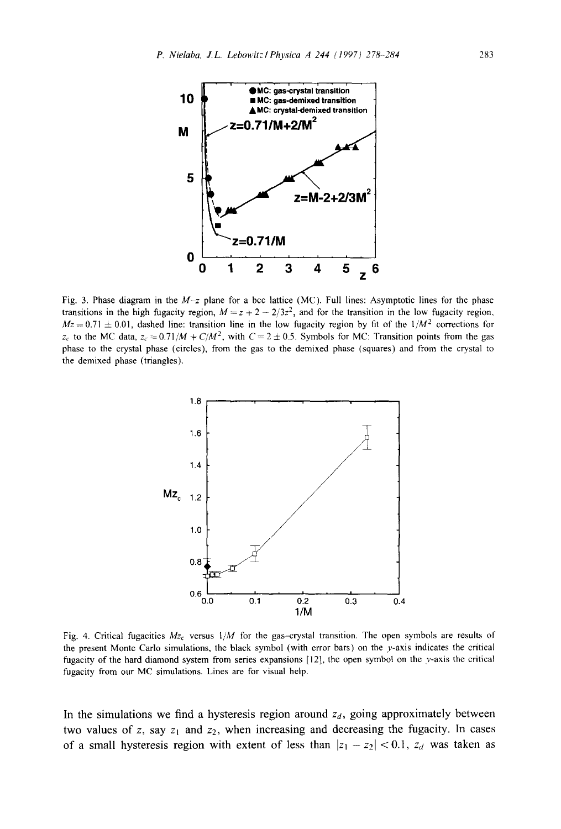

Fig. 3. Phase diagram in the  $M-z$  plane for a bcc lattice (MC). Full lines: Asymptotic lines for the phase transitions in the high fugacity region,  $M = z + 2 - 2/3z^2$ , and for the transition in the low fugacity region,  $Mz = 0.71 \pm 0.01$ , dashed line: transition line in the low fugacity region by fit of the  $1/M<sup>2</sup>$  corrections for  $z_c$  to the MC data,  $z_c = 0.71/M + C/M^2$ , with  $C = 2 \pm 0.5$ . Symbols for MC: Transition points from the gas phase to the crystal phase (circles), from the gas to the demixed phase (squares) and from the crystal to the demixed phase (triangles).



Fig. 4. Critical fugacities *Mzc* versus *1/M* for the gas-crystal transition. The open symbols are results of the present Monte Carlo simulations, the black symbol (with error bars) on the y-axis indicates the critical fugacity of the hard diamond system from series expansions [12], the open symbol on the y-axis the critical fugacity from our MC simulations. Lines are for visual help.

In the simulations we find a hysteresis region around  $z_d$ , going approximately between two values of z, say  $z_1$  and  $z_2$ , when increasing and decreasing the fugacity. In cases of a small hysteresis region with extent of less than  $|z_1 - z_2| < 0.1$ ,  $z_d$  was taken as